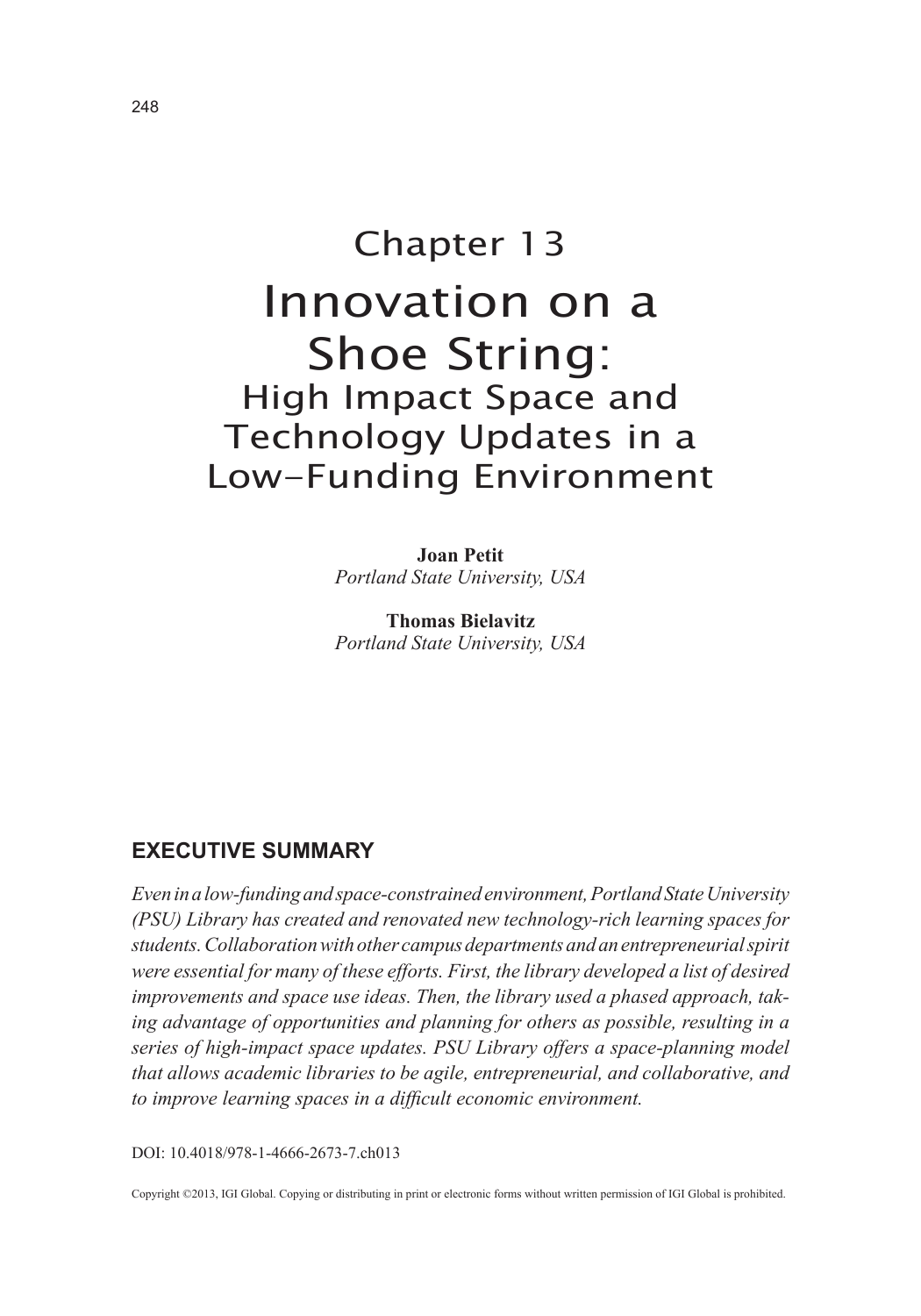# Chapter 13 Innovation on a Shoe String: High Impact Space and Technology Updates in a Low-Funding Environment

**Joan Petit** *Portland State University, USA*

**Thomas Bielavitz** *Portland State University, USA*

## **EXECUTIVE SUMMARY**

*Even in a low-funding and space-constrained environment, Portland State University (PSU) Library has created and renovated new technology-rich learning spaces for students. Collaboration with other campus departments and an entrepreneurial spirit were essential for many of these efforts. First, the library developed a list of desired improvements and space use ideas. Then, the library used a phased approach, taking advantage of opportunities and planning for others as possible, resulting in a series of high-impact space updates. PSU Library offers a space-planning model that allows academic libraries to be agile, entrepreneurial, and collaborative, and to improve learning spaces in a difficult economic environment.*

DOI: 10.4018/978-1-4666-2673-7.ch013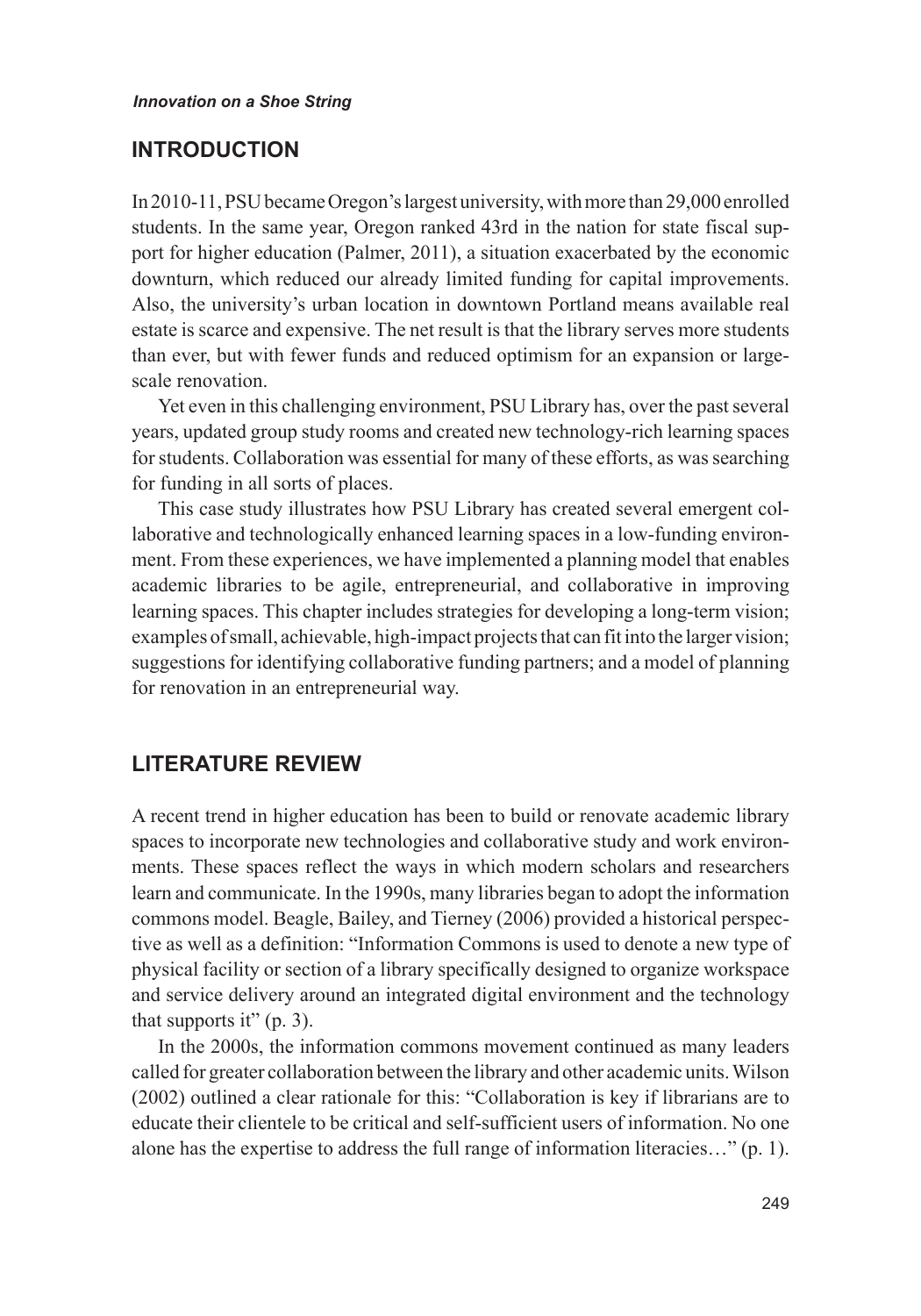#### **INTRODUCTION**

In 2010-11, PSU became Oregon's largest university, with more than 29,000 enrolled students. In the same year, Oregon ranked 43rd in the nation for state fiscal support for higher education (Palmer, 2011), a situation exacerbated by the economic downturn, which reduced our already limited funding for capital improvements. Also, the university's urban location in downtown Portland means available real estate is scarce and expensive. The net result is that the library serves more students than ever, but with fewer funds and reduced optimism for an expansion or largescale renovation.

Yet even in this challenging environment, PSU Library has, over the past several years, updated group study rooms and created new technology-rich learning spaces for students. Collaboration was essential for many of these efforts, as was searching for funding in all sorts of places.

This case study illustrates how PSU Library has created several emergent collaborative and technologically enhanced learning spaces in a low-funding environment. From these experiences, we have implemented a planning model that enables academic libraries to be agile, entrepreneurial, and collaborative in improving learning spaces. This chapter includes strategies for developing a long-term vision; examples of small, achievable, high-impact projects that can fit into the larger vision; suggestions for identifying collaborative funding partners; and a model of planning for renovation in an entrepreneurial way.

# **LITERATURE REVIEW**

A recent trend in higher education has been to build or renovate academic library spaces to incorporate new technologies and collaborative study and work environments. These spaces reflect the ways in which modern scholars and researchers learn and communicate. In the 1990s, many libraries began to adopt the information commons model. Beagle, Bailey, and Tierney (2006) provided a historical perspective as well as a definition: "Information Commons is used to denote a new type of physical facility or section of a library specifically designed to organize workspace and service delivery around an integrated digital environment and the technology that supports it"  $(p. 3)$ .

In the 2000s, the information commons movement continued as many leaders called for greater collaboration between the library and other academic units. Wilson (2002) outlined a clear rationale for this: "Collaboration is key if librarians are to educate their clientele to be critical and self-sufficient users of information. No one alone has the expertise to address the full range of information literacies…" (p. 1).